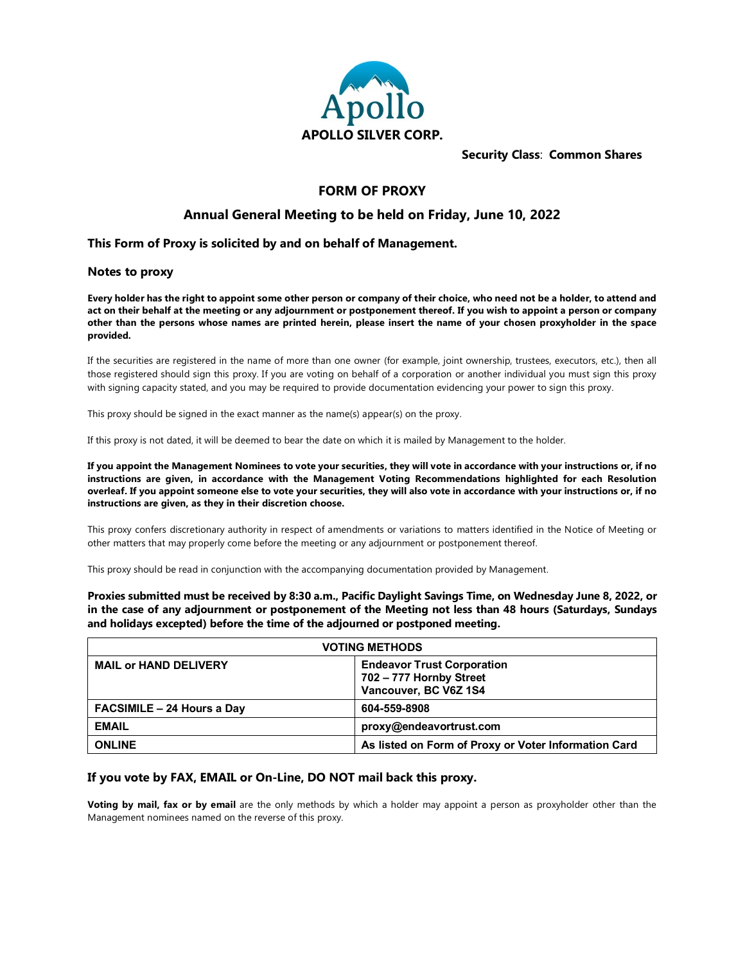

**Security Class**: **Common Shares**

# **FORM OF PROXY**

# **Annual General Meeting to be held on Friday, June 10, 2022**

### **This Form of Proxy is solicited by and on behalf of Management.**

#### **Notes to proxy**

**Every holder has the right to appoint some other person or company of their choice, who need not be a holder, to attend and act on their behalf at the meeting or any adjournment or postponement thereof. If you wish to appoint a person or company other than the persons whose names are printed herein, please insert the name of your chosen proxyholder in the space provided.**

If the securities are registered in the name of more than one owner (for example, joint ownership, trustees, executors, etc.), then all those registered should sign this proxy. If you are voting on behalf of a corporation or another individual you must sign this proxy with signing capacity stated, and you may be required to provide documentation evidencing your power to sign this proxy.

This proxy should be signed in the exact manner as the name(s) appear(s) on the proxy.

If this proxy is not dated, it will be deemed to bear the date on which it is mailed by Management to the holder.

**If you appoint the Management Nominees to vote your securities, they will vote in accordance with your instructions or, if no instructions are given, in accordance with the Management Voting Recommendations highlighted for each Resolution overleaf. If you appoint someone else to vote your securities, they will also vote in accordance with your instructions or, if no instructions are given, as they in their discretion choose.** 

This proxy confers discretionary authority in respect of amendments or variations to matters identified in the Notice of Meeting or other matters that may properly come before the meeting or any adjournment or postponement thereof.

This proxy should be read in conjunction with the accompanying documentation provided by Management.

**Proxies submitted must be received by 8:30 a.m., Pacific Daylight Savings Time, on Wednesday June 8, 2022, or in the case of any adjournment or postponement of the Meeting not less than 48 hours (Saturdays, Sundays and holidays excepted) before the time of the adjourned or postponed meeting.** 

| <b>VOTING METHODS</b>             |                                                                                       |  |  |  |  |  |
|-----------------------------------|---------------------------------------------------------------------------------------|--|--|--|--|--|
| <b>MAIL or HAND DELIVERY</b>      | <b>Endeavor Trust Corporation</b><br>702 - 777 Hornby Street<br>Vancouver, BC V6Z 1S4 |  |  |  |  |  |
| <b>FACSIMILE - 24 Hours a Day</b> | 604-559-8908                                                                          |  |  |  |  |  |
| <b>EMAIL</b>                      | proxy@endeavortrust.com                                                               |  |  |  |  |  |
| <b>ONLINE</b>                     | As listed on Form of Proxy or Voter Information Card                                  |  |  |  |  |  |

### **If you vote by FAX, EMAIL or On-Line, DO NOT mail back this proxy.**

**Voting by mail, fax or by email** are the only methods by which a holder may appoint a person as proxyholder other than the Management nominees named on the reverse of this proxy.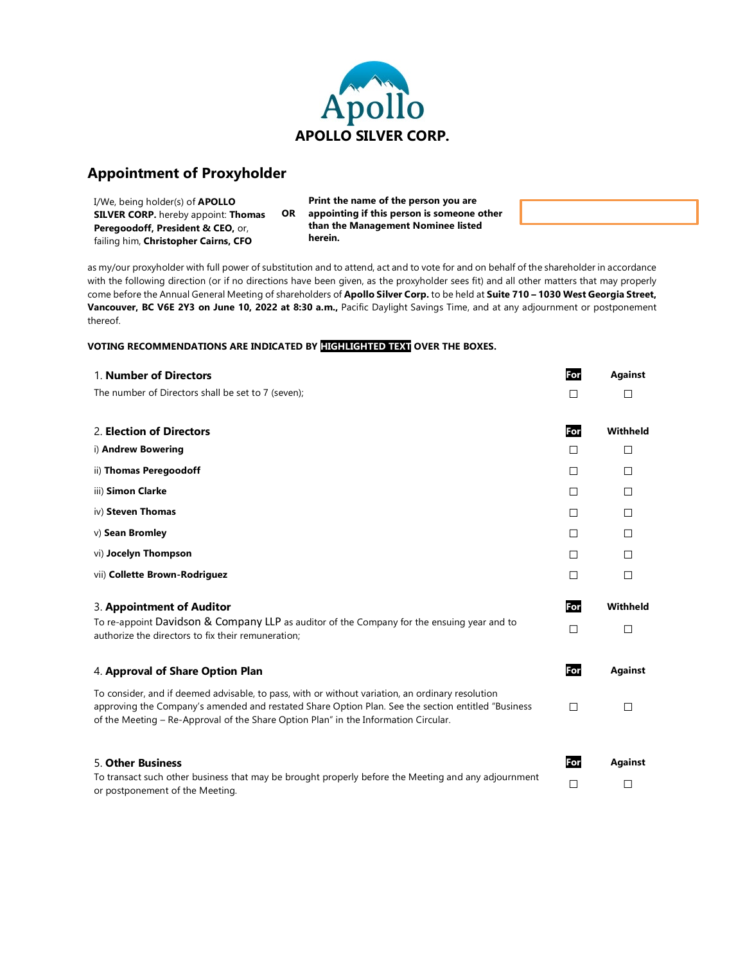

# **Appointment of Proxyholder**

| I/We, being holder(s) of <b>APOLLO</b>       |                                    | Print the name of the person you are       |  |  |  |  |
|----------------------------------------------|------------------------------------|--------------------------------------------|--|--|--|--|
| <b>SILVER CORP.</b> hereby appoint: Thomas   | OR.                                | appointing if this person is someone other |  |  |  |  |
| <b>Peregoodoff, President &amp; CEO, or,</b> | than the Management Nominee listed |                                            |  |  |  |  |
| failing him, Christopher Cairns, CFO         |                                    | herein.                                    |  |  |  |  |

as my/our proxyholder with full power of substitution and to attend, act and to vote for and on behalf of the shareholder in accordance with the following direction (or if no directions have been given, as the proxyholder sees fit) and all other matters that may properly come before the Annual General Meeting of shareholders of **Apollo Silver Corp.** to be held at **Suite 710 – 1030 West Georgia Street, Vancouver, BC V6E 2Y3 on June 10, 2022 at 8:30 a.m.,** Pacific Daylight Savings Time, and at any adjournment or postponement thereof.

#### **VOTING RECOMMENDATIONS ARE INDICATED BY HIGHLIGHTED TEXT OVER THE BOXES.**

| 1. Number of Directors                                                                                                                                                                                                                                                                         | For    | <b>Against</b> |
|------------------------------------------------------------------------------------------------------------------------------------------------------------------------------------------------------------------------------------------------------------------------------------------------|--------|----------------|
| The number of Directors shall be set to 7 (seven);                                                                                                                                                                                                                                             | П      | П              |
|                                                                                                                                                                                                                                                                                                |        |                |
| 2. Election of Directors                                                                                                                                                                                                                                                                       | For    | Withheld       |
| i) Andrew Bowering                                                                                                                                                                                                                                                                             | П      | $\Box$         |
| ii) Thomas Peregoodoff                                                                                                                                                                                                                                                                         | П      | $\Box$         |
| iii) Simon Clarke                                                                                                                                                                                                                                                                              | П      | П              |
| iv) Steven Thomas                                                                                                                                                                                                                                                                              | П      | П              |
| v) Sean Bromley                                                                                                                                                                                                                                                                                | □      | □              |
| vi) Jocelyn Thompson                                                                                                                                                                                                                                                                           | П      | $\Box$         |
| vii) Collette Brown-Rodriguez                                                                                                                                                                                                                                                                  | П      | $\Box$         |
| 3. Appointment of Auditor                                                                                                                                                                                                                                                                      | For    | Withheld       |
| To re-appoint Davidson & Company LLP as auditor of the Company for the ensuing year and to<br>authorize the directors to fix their remuneration;                                                                                                                                               | П      | $\Box$         |
| 4. Approval of Share Option Plan                                                                                                                                                                                                                                                               | For    | <b>Against</b> |
| To consider, and if deemed advisable, to pass, with or without variation, an ordinary resolution<br>approving the Company's amended and restated Share Option Plan. See the section entitled "Business"<br>of the Meeting – Re-Approval of the Share Option Plan" in the Information Circular. | П      | □              |
| 5. Other Business                                                                                                                                                                                                                                                                              | For    | <b>Against</b> |
| To transact such other business that may be brought properly before the Meeting and any adjournment<br>or postponement of the Meeting.                                                                                                                                                         | $\Box$ | □              |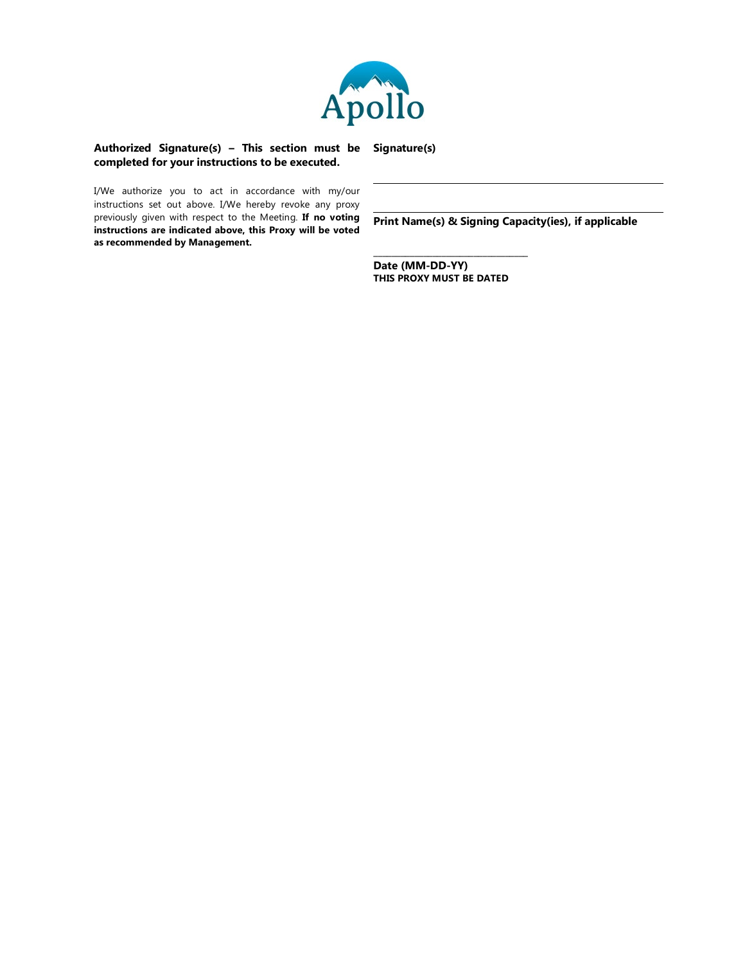

#### **Authorized Signature(s) – This section must be Signature(s) completed for your instructions to be executed.**

I/We authorize you to act in accordance with my/our instructions set out above. I/We hereby revoke any proxy previously given with respect to the Meeting. **If no voting instructions are indicated above, this Proxy will be voted as recommended by Management.**

**Print Name(s) & Signing Capacity(ies), if applicable**

**Date (MM-DD-YY) THIS PROXY MUST BE DATED**

\_\_\_\_\_\_\_\_\_\_\_\_\_\_\_\_\_\_\_\_\_\_\_\_\_\_\_\_\_\_\_\_\_\_